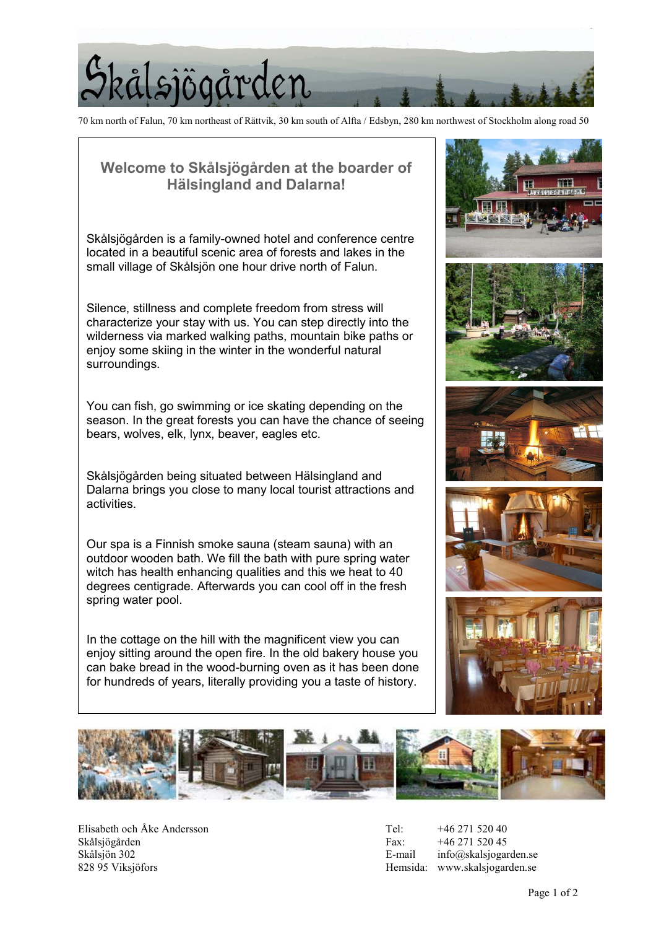

70 km north of Falun, 70 km northeast of Rättvik, 30 km south of Alfta / Edsbyn, 280 km northwest of Stockholm along road 50

## Welcome to Skålsjögården at the boarder of Hälsingland and Dalarna!

Skålsjögården is a family-owned hotel and conference centre located in a beautiful scenic area of forests and lakes in the small village of Skålsjön one hour drive north of Falun.

Silence, stillness and complete freedom from stress will characterize your stay with us. You can step directly into the wilderness via marked walking paths, mountain bike paths or enjoy some skiing in the winter in the wonderful natural surroundings.

You can fish, go swimming or ice skating depending on the season. In the great forests you can have the chance of seeing bears, wolves, elk, lynx, beaver, eagles etc.

Skålsjögården being situated between Hälsingland and Dalarna brings you close to many local tourist attractions and activities.

Our spa is a Finnish smoke sauna (steam sauna) with an outdoor wooden bath. We fill the bath with pure spring water witch has health enhancing qualities and this we heat to 40 degrees centigrade. Afterwards you can cool off in the fresh spring water pool.

In the cottage on the hill with the magnificent view you can enjoy sitting around the open fire. In the old bakery house you can bake bread in the wood-burning oven as it has been done for hundreds of years, literally providing you a taste of history.





Elisabeth och Åke Andersson Tel: +46 271 520 40 Skålsjögården Fax: +46 271 520 45 Skålsjön 302 **E-mail** info@skalsjogarden.se 828 95 Viksjöfors **Hemsida:** www.skalsjogarden.se